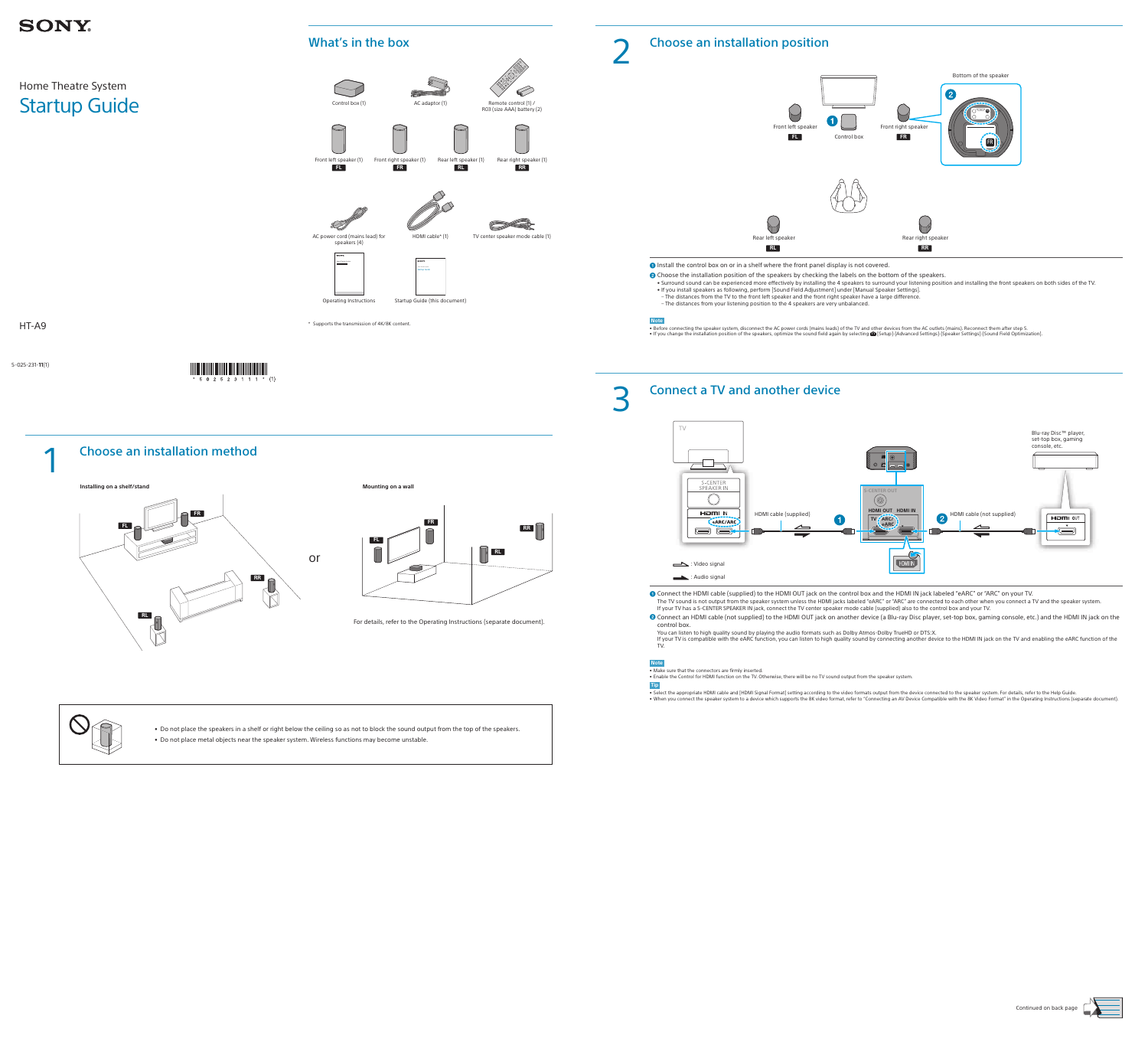5-025-231-**11**(1)

 $*$  5 0 2 5 2 3 1 1 1  $*$  (1)

## **SONY**

## Home Theatre System Startup Guide

#### HT-A9

### 2 Choose an installation position



**O** Install the control box on or in a shelf where the front panel display is not covered.

- <sup>2</sup> Choose the installation position of the speakers by checking the labels on the bottom of the speakers.
- Surround sound can be experienced more effectively by installing the 4 speakers to surround your listening position and installing the front speakers on both sides of the TV. • If you install speakers as following, perform [Sound Field Adjustment] under [Manual Speaker Settings].
- The distances from the TV to the front left speaker and the front right speaker have a large difference.

• Before connecting the speaker system, disconnect the AC power cords (mains leads) of the TV and other devices from the AC outlets (mains). Reconnect them after step 5. • If you change the installation position of the speakers, optimize the sound field again by selecting  $\mathbf{E}$  [Setup]-[Advanced Settings]-[Speaker Settings]-[Sound Field Optimization].

– The distances from your listening position to the 4 speakers are very unbalanced.

#### **Note**

# 3 Connect a TV and another device



- Connect the HDMI cable (supplied) to the HDMI OUT jack on the control box and the HDMI IN jack labeled "eARC" or "ARC" on your TV.
- The TV sound is not output from the speaker system unless the HDMI jacks labeled "eARC" or "ARC" are connected to each other when you connect a TV and the speaker system. If your TV has a S-CENTER SPEAKER IN jack, connect the TV center speaker mode cable (supplied) also to the control box and your TV.
- **2** Connect an HDMI cable (not supplied) to the HDMI OUT jack on another device (a Blu-ray Disc player, set-top box, gaming console, etc.) and the HDMI IN jack on the control box.

You can listen to high quality sound by playing the audio formats such as Dolby Atmos-Dolby TrueHD or DTS:X. If your TV is compatible with the eARC function, you can listen to high quality sound by connecting another device to the HDMI IN jack on the TV and enabling the eARC function of the TV.

#### **Note**

• Make sure that the connectors are firmly inserted. • Enable the Control for HDMI function on the TV. Otherwise, there will be no TV sound output from the speaker system.

**Tip**

• Select the appropriate HDMI cable and [HDMI Signal Format] setting according to the video formats output from the device connected to the speaker system. For details, refer to the Help Guide. • When you connect the speaker system to a device which supports the 8K video format, refer to "Connecting an AV Device Compatible with the 8K Video Format" in the Operating Instructions (separate document).







• Do not place the speakers in a shelf or right below the ceiling so as not to block the sound output from the top of the speakers. • Do not place metal objects near the speaker system. Wireless functions may become unstable.